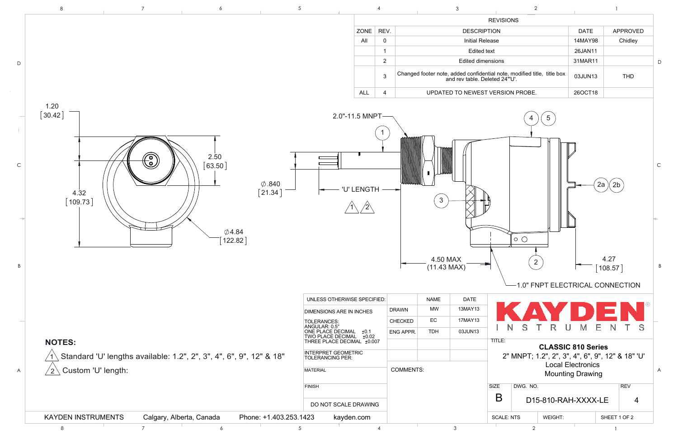|                  | 8                                                                 | $7^{\circ}$ | 6                                                                   | $5\phantom{.0}$                              |                                                                                                                                                                                                                                                 |                                             |                |                                                                                                           | $\mathfrak{Z}$                               |                     |              | $\overline{2}$       |                                                                                                                                                                                        |                                                 |              |
|------------------|-------------------------------------------------------------------|-------------|---------------------------------------------------------------------|----------------------------------------------|-------------------------------------------------------------------------------------------------------------------------------------------------------------------------------------------------------------------------------------------------|---------------------------------------------|----------------|-----------------------------------------------------------------------------------------------------------|----------------------------------------------|---------------------|--------------|----------------------|----------------------------------------------------------------------------------------------------------------------------------------------------------------------------------------|-------------------------------------------------|--------------|
|                  |                                                                   |             |                                                                     |                                              |                                                                                                                                                                                                                                                 |                                             |                |                                                                                                           |                                              | <b>REVISIONS</b>    |              |                      |                                                                                                                                                                                        |                                                 |              |
|                  |                                                                   |             |                                                                     |                                              |                                                                                                                                                                                                                                                 | ZONE                                        | REV.           |                                                                                                           | <b>DESCRIPTION</b>                           |                     |              |                      | <b>DATE</b>                                                                                                                                                                            | APPROVED                                        |              |
|                  |                                                                   |             |                                                                     |                                              |                                                                                                                                                                                                                                                 | All                                         | $\mathbf 0$    |                                                                                                           | <b>Initial Release</b>                       |                     |              |                      | 14MAY98                                                                                                                                                                                | Chidley                                         |              |
|                  |                                                                   |             |                                                                     |                                              |                                                                                                                                                                                                                                                 |                                             |                |                                                                                                           | <b>Edited text</b>                           |                     |              |                      | 26JAN11                                                                                                                                                                                |                                                 |              |
| $\mathsf{D}$     |                                                                   |             |                                                                     |                                              |                                                                                                                                                                                                                                                 |                                             | $\overline{2}$ |                                                                                                           | Edited dimensions                            |                     |              |                      | 31MAR11                                                                                                                                                                                |                                                 |              |
|                  |                                                                   |             |                                                                     |                                              |                                                                                                                                                                                                                                                 |                                             | $\mathbf{3}$   | Changed footer note, added confidential note, modified title, title box<br>and rev table. Deleted 24"'U'. |                                              |                     |              |                      | 03JUN13                                                                                                                                                                                | THD                                             |              |
|                  |                                                                   |             |                                                                     |                                              |                                                                                                                                                                                                                                                 | <b>ALL</b>                                  | 4              |                                                                                                           | UPDATED TO NEWEST VERSION PROBE.             |                     |              |                      | 26OCT18                                                                                                                                                                                |                                                 |              |
| $\mathsf C$<br>B | 1.20<br>$\left[\,30.42\,\right]$<br>4.32<br>$\left[109.73\right]$ | $\odot$     | 2.50<br>63.50<br>$\emptyset$ 4.84<br>122.82                         | $\emptyset$ .840<br>$\left[\,21.34\,\right]$ |                                                                                                                                                                                                                                                 | $2.0" - 11.5$ MNPT $-$<br><b>'U' LENGTH</b> |                | $\mathbf{3}$<br>4.50 MAX<br>$(11.43 \text{ MAX})$                                                         |                                              |                     | $\circ\circ$ | $5\overline{)}$<br>2 |                                                                                                                                                                                        | $2a \nvert 2b$<br>4.27<br>$\left[108.57\right]$ |              |
| A                | <b>NOTES:</b><br>Custom 'U' length:<br>$^{\prime}$ 2 $^{\prime}$  |             | Standard 'U' lengths available: 1.2", 2", 3", 4", 6", 9", 12" & 18" |                                              | UNLESS OTHERWISE SPECIFIED:<br><b>DIMENSIONS ARE IN INCHES</b><br>TOLERANCES:<br>ANGULAR: 0.5°<br>ONE PLACE DECIMAL +0.1<br>TWO PLACE DECIMAL +0.02<br>THREE PLACE DECIMAL +0.007<br>INTERPRET GEOMETRIC<br>TOLERANCING PER:<br><b>MATERIAL</b> | ±0.02                                       |                | <b>NAME</b><br><b>MW</b><br><b>DRAWN</b><br>EC<br>CHECKED<br><b>TDH</b><br>ENG APPR.<br><b>COMMENTS:</b>  | <b>DATE</b><br>13MAY13<br>17MAY13<br>03JUN13 | <b>N</b><br>TITLE:  | S            | т<br>R               | 1.0" FNPT ELECTRICAL CONNECTION<br>Е<br>M<br>U<br><b>CLASSIC 810 Series</b><br>2" MNPT; 1.2", 2", 3", 4", 6", 9", 12" & 18" 'U'<br><b>Local Electronics</b><br><b>Mounting Drawing</b> | N.                                              | <sub>S</sub> |
|                  |                                                                   |             |                                                                     |                                              | <b>FINISH</b><br>DO NOT SCALE DRAWING                                                                                                                                                                                                           |                                             |                |                                                                                                           |                                              | SIZE<br>$\mathsf B$ | DWG. NO.     |                      | D15-810-RAH-XXXX-LE                                                                                                                                                                    | <b>REV</b>                                      | 4            |
|                  | <b>KAYDEN INSTRUMENTS</b>                                         |             | Calgary, Alberta, Canada                                            | Phone: +1.403.253.1423                       | kayden.com                                                                                                                                                                                                                                      |                                             |                |                                                                                                           |                                              | <b>SCALE: NTS</b>   |              | WEIGHT:              |                                                                                                                                                                                        | SHEET 1 OF 2                                    |              |

 $\sim$